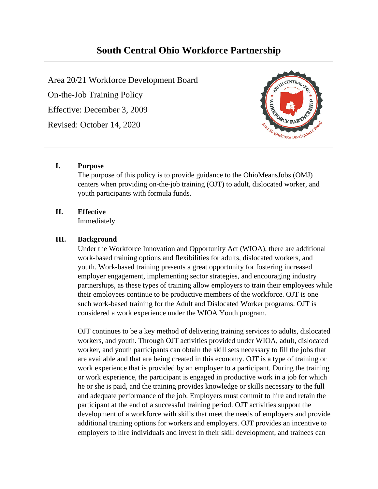# **South Central Ohio Workforce Partnership**

Area 20/21 Workforce Development Board On-the-Job Training Policy Effective: December 3, 2009 Revised: October 14, 2020



# **I. Purpose**

The purpose of this policy is to provide guidance to the OhioMeansJobs (OMJ) centers when providing on-the-job training (OJT) to adult, dislocated worker, and youth participants with formula funds.

# **II. Effective**

Immediately

# **III. Background**

Under the Workforce Innovation and Opportunity Act (WIOA), there are additional work-based training options and flexibilities for adults, dislocated workers, and youth. Work-based training presents a great opportunity for fostering increased employer engagement, implementing sector strategies, and encouraging industry partnerships, as these types of training allow employers to train their employees while their employees continue to be productive members of the workforce. OJT is one such work-based training for the Adult and Dislocated Worker programs. OJT is considered a work experience under the WIOA Youth program.

OJT continues to be a key method of delivering training services to adults, dislocated workers, and youth. Through OJT activities provided under WIOA, adult, dislocated worker, and youth participants can obtain the skill sets necessary to fill the jobs that are available and that are being created in this economy. OJT is a type of training or work experience that is provided by an employer to a participant. During the training or work experience, the participant is engaged in productive work in a job for which he or she is paid, and the training provides knowledge or skills necessary to the full and adequate performance of the job. Employers must commit to hire and retain the participant at the end of a successful training period. OJT activities support the development of a workforce with skills that meet the needs of employers and provide additional training options for workers and employers. OJT provides an incentive to employers to hire individuals and invest in their skill development, and trainees can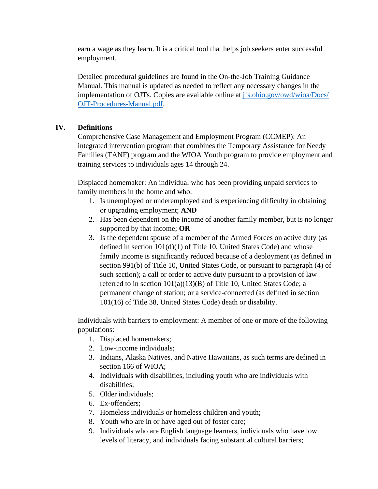earn a wage as they learn. It is a critical tool that helps job seekers enter successful employment.

Detailed procedural guidelines are found in the On-the-Job Training Guidance Manual. This manual is updated as needed to reflect any necessary changes in the implementation of OJTs. Copies are available online at [jfs.ohio.gov/owd/wioa/Docs/](https://jfs.ohio.gov/%E2%80%8Bowd/%E2%80%8Bwioa/%E2%80%8BDocs/%E2%80%8BOJT-Procedures-Manual.pdf) [OJT-Procedures-Manual.pdf.](https://jfs.ohio.gov/%E2%80%8Bowd/%E2%80%8Bwioa/%E2%80%8BDocs/%E2%80%8BOJT-Procedures-Manual.pdf)

# **IV. Definitions**

Comprehensive Case Management and Employment Program (CCMEP): An integrated intervention program that combines the Temporary Assistance for Needy Families (TANF) program and the WIOA Youth program to provide employment and training services to individuals ages 14 through 24.

Displaced homemaker: An individual who has been providing unpaid services to family members in the home and who:

- 1. Is unemployed or underemployed and is experiencing difficulty in obtaining or upgrading employment; **AND**
- 2. Has been dependent on the income of another family member, but is no longer supported by that income; **OR**
- 3. Is the dependent spouse of a member of the Armed Forces on active duty (as defined in section  $101(d)(1)$  of Title 10, United States Code) and whose family income is significantly reduced because of a deployment (as defined in section 991(b) of Title 10, United States Code, or pursuant to paragraph (4) of such section); a call or order to active duty pursuant to a provision of law referred to in section 101(a)(13)(B) of Title 10, United States Code; a permanent change of station; or a service-connected (as defined in section 101(16) of Title 38, United States Code) death or disability.

Individuals with barriers to employment: A member of one or more of the following populations:

- 1. Displaced homemakers;
- 2. Low-income individuals;
- 3. Indians, Alaska Natives, and Native Hawaiians, as such terms are defined in section 166 of WIOA;
- 4. Individuals with disabilities, including youth who are individuals with disabilities:
- 5. Older individuals;
- 6. Ex-offenders;
- 7. Homeless individuals or homeless children and youth;
- 8. Youth who are in or have aged out of foster care;
- 9. Individuals who are English language learners, individuals who have low levels of literacy, and individuals facing substantial cultural barriers;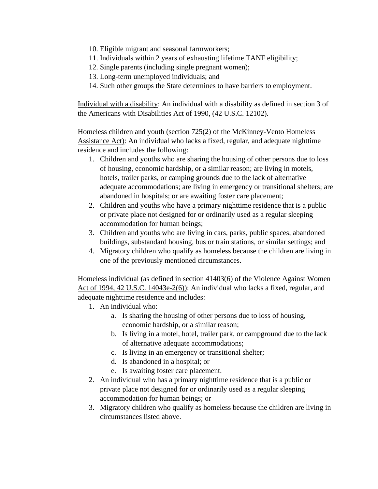- 10. Eligible migrant and seasonal farmworkers;
- 11. Individuals within 2 years of exhausting lifetime TANF eligibility;
- 12. Single parents (including single pregnant women);
- 13. Long-term unemployed individuals; and
- 14. Such other groups the State determines to have barriers to employment.

Individual with a disability: An individual with a disability as defined in section 3 of the Americans with Disabilities Act of 1990, (42 U.S.C. 12102).

Homeless children and youth (section 725(2) of the McKinney-Vento Homeless Assistance Act): An individual who lacks a fixed, regular, and adequate nighttime residence and includes the following:

- 1. Children and youths who are sharing the housing of other persons due to loss of housing, economic hardship, or a similar reason; are living in motels, hotels, trailer parks, or camping grounds due to the lack of alternative adequate accommodations; are living in emergency or transitional shelters; are abandoned in hospitals; or are awaiting foster care placement;
- 2. Children and youths who have a primary nighttime residence that is a public or private place not designed for or ordinarily used as a regular sleeping accommodation for human beings;
- 3. Children and youths who are living in cars, parks, public spaces, abandoned buildings, substandard housing, bus or train stations, or similar settings; and
- 4. Migratory children who qualify as homeless because the children are living in one of the previously mentioned circumstances.

Homeless individual (as defined in section 41403(6) of the Violence Against Women Act of 1994, 42 U.S.C. 14043e-2(6)): An individual who lacks a fixed, regular, and adequate nighttime residence and includes:

- 1. An individual who:
	- a. Is sharing the housing of other persons due to loss of housing, economic hardship, or a similar reason;
	- b. Is living in a motel, hotel, trailer park, or campground due to the lack of alternative adequate accommodations;
	- c. Is living in an emergency or transitional shelter;
	- d. Is abandoned in a hospital; or
	- e. Is awaiting foster care placement.
- 2. An individual who has a primary nighttime residence that is a public or private place not designed for or ordinarily used as a regular sleeping accommodation for human beings; or
- 3. Migratory children who qualify as homeless because the children are living in circumstances listed above.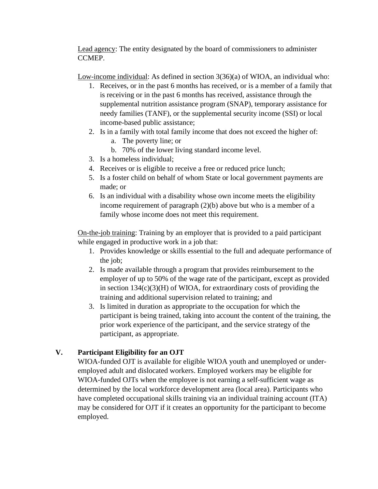Lead agency: The entity designated by the board of commissioners to administer CCMEP.

Low-income individual: As defined in section 3(36)(a) of WIOA, an individual who:

- 1. Receives, or in the past 6 months has received, or is a member of a family that is receiving or in the past 6 months has received, assistance through the supplemental nutrition assistance program (SNAP), temporary assistance for needy families (TANF), or the supplemental security income (SSI) or local income-based public assistance;
- 2. Is in a family with total family income that does not exceed the higher of: a. The poverty line; or
	- b. 70% of the lower living standard income level.
- 3. Is a homeless individual;
- 4. Receives or is eligible to receive a free or reduced price lunch;
- 5. Is a foster child on behalf of whom State or local government payments are made; or
- 6. Is an individual with a disability whose own income meets the eligibility income requirement of paragraph (2)(b) above but who is a member of a family whose income does not meet this requirement.

On-the-job training: Training by an employer that is provided to a paid participant while engaged in productive work in a job that:

- 1. Provides knowledge or skills essential to the full and adequate performance of the job;
- 2. Is made available through a program that provides reimbursement to the employer of up to 50% of the wage rate of the participant, except as provided in section  $134(c)(3)(H)$  of WIOA, for extraordinary costs of providing the training and additional supervision related to training; and
- 3. Is limited in duration as appropriate to the occupation for which the participant is being trained, taking into account the content of the training, the prior work experience of the participant, and the service strategy of the participant, as appropriate.

# **V. Participant Eligibility for an OJT**

WIOA-funded OJT is available for eligible WIOA youth and unemployed or underemployed adult and dislocated workers. Employed workers may be eligible for WIOA-funded OJTs when the employee is not earning a self-sufficient wage as determined by the local workforce development area (local area). Participants who have completed occupational skills training via an individual training account (ITA) may be considered for OJT if it creates an opportunity for the participant to become employed.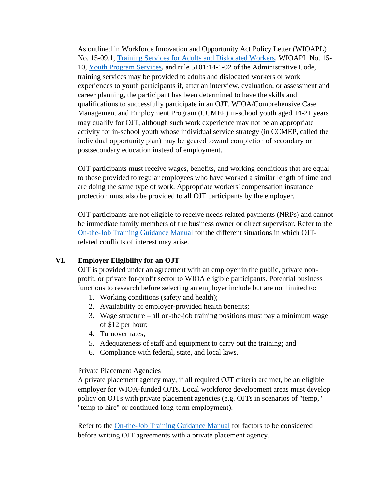As outlined in Workforce Innovation and Opportunity Act Policy Letter (WIOAPL) No. 15-09.1, [Training Services for Adults and Dislocated Workers,](https://emanuals.jfs.ohio.gov/Workforce/WIOA/WIOAPL/WIOAPL-15-09-1.stm) WIOAPL No. 15- 10, [Youth Program Services,](https://emanuals.jfs.ohio.gov/Workforce/WIOA/WIOAPL/WIOAPL-15-10.stm) and rule 5101:14-1-02 of the Administrative Code, training services may be provided to adults and dislocated workers or work experiences to youth participants if, after an interview, evaluation, or assessment and career planning, the participant has been determined to have the skills and qualifications to successfully participate in an OJT. WIOA/Comprehensive Case Management and Employment Program (CCMEP) in-school youth aged 14-21 years may qualify for OJT, although such work experience may not be an appropriate activity for in-school youth whose individual service strategy (in CCMEP, called the individual opportunity plan) may be geared toward completion of secondary or postsecondary education instead of employment.

OJT participants must receive wages, benefits, and working conditions that are equal to those provided to regular employees who have worked a similar length of time and are doing the same type of work. Appropriate workers' compensation insurance protection must also be provided to all OJT participants by the employer.

OJT participants are not eligible to receive needs related payments (NRPs) and cannot be immediate family members of the business owner or direct supervisor. Refer to the [On-the-Job Training Guidance Manual](https://jfs.ohio.gov/%E2%80%8Bowd/%E2%80%8Bwioa/%E2%80%8BDocs/%E2%80%8BOJT-Procedures-Manual.pdf) for the different situations in which OJTrelated conflicts of interest may arise.

### **VI. Employer Eligibility for an OJT**

OJT is provided under an agreement with an employer in the public, private nonprofit, or private for-profit sector to WIOA eligible participants. Potential business functions to research before selecting an employer include but are not limited to:

- 1. Working conditions (safety and health);
- 2. Availability of employer-provided health benefits;
- 3. Wage structure all on-the-job training positions must pay a minimum wage of \$12 per hour;
- 4. Turnover rates;
- 5. Adequateness of staff and equipment to carry out the training; and
- 6. Compliance with federal, state, and local laws.

### Private Placement Agencies

A private placement agency may, if all required OJT criteria are met, be an eligible employer for WIOA-funded OJTs. Local workforce development areas must develop policy on OJTs with private placement agencies (e.g. OJTs in scenarios of "temp," "temp to hire" or continued long-term employment).

Refer to the [On-the-Job Training Guidance Manual](https://jfs.ohio.gov/%E2%80%8Bowd/%E2%80%8Bwioa/%E2%80%8BDocs/%E2%80%8BOJT-Procedures-Manual.pdf) for factors to be considered before writing OJT agreements with a private placement agency.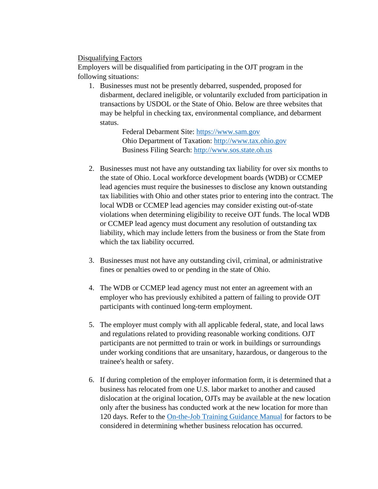# Disqualifying Factors

Employers will be disqualified from participating in the OJT program in the following situations:

1. Businesses must not be presently debarred, suspended, proposed for disbarment, declared ineligible, or voluntarily excluded from participation in transactions by USDOL or the State of Ohio. Below are three websites that may be helpful in checking tax, environmental compliance, and debarment status.

> Federal Debarment Site: [https://www.sam.gov](https://www.sam.gov/) Ohio Department of Taxation: [http://www.tax.ohio.gov](http://www.tax.ohio.gov/) Business Filing Search: [http://www.sos.state.oh.us](http://www.sos.state.oh.us/)

- 2. Businesses must not have any outstanding tax liability for over six months to the state of Ohio. Local workforce development boards (WDB) or CCMEP lead agencies must require the businesses to disclose any known outstanding tax liabilities with Ohio and other states prior to entering into the contract. The local WDB or CCMEP lead agencies may consider existing out-of-state violations when determining eligibility to receive OJT funds. The local WDB or CCMEP lead agency must document any resolution of outstanding tax liability, which may include letters from the business or from the State from which the tax liability occurred.
- 3. Businesses must not have any outstanding civil, criminal, or administrative fines or penalties owed to or pending in the state of Ohio.
- 4. The WDB or CCMEP lead agency must not enter an agreement with an employer who has previously exhibited a pattern of failing to provide OJT participants with continued long-term employment.
- 5. The employer must comply with all applicable federal, state, and local laws and regulations related to providing reasonable working conditions. OJT participants are not permitted to train or work in buildings or surroundings under working conditions that are unsanitary, hazardous, or dangerous to the trainee's health or safety.
- 6. If during completion of the employer information form, it is determined that a business has relocated from one U.S. labor market to another and caused dislocation at the original location, OJTs may be available at the new location only after the business has conducted work at the new location for more than 120 days. Refer to the [On-the-Job Training Guidance Manual](https://jfs.ohio.gov/%E2%80%8Bowd/%E2%80%8Bwioa/%E2%80%8BDocs/%E2%80%8BOJT-Procedures-Manual.pdf) for factors to be considered in determining whether business relocation has occurred.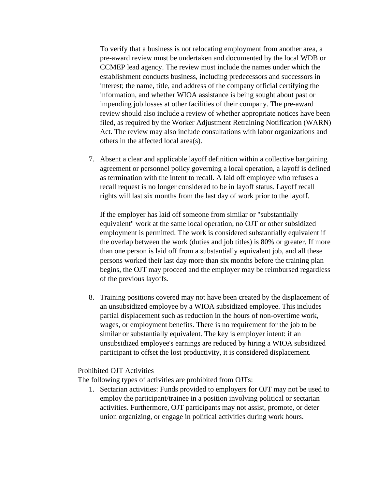To verify that a business is not relocating employment from another area, a pre-award review must be undertaken and documented by the local WDB or CCMEP lead agency. The review must include the names under which the establishment conducts business, including predecessors and successors in interest; the name, title, and address of the company official certifying the information, and whether WIOA assistance is being sought about past or impending job losses at other facilities of their company. The pre-award review should also include a review of whether appropriate notices have been filed, as required by the Worker Adjustment Retraining Notification (WARN) Act. The review may also include consultations with labor organizations and others in the affected local area(s).

7. Absent a clear and applicable layoff definition within a collective bargaining agreement or personnel policy governing a local operation, a layoff is defined as termination with the intent to recall. A laid off employee who refuses a recall request is no longer considered to be in layoff status. Layoff recall rights will last six months from the last day of work prior to the layoff.

If the employer has laid off someone from similar or "substantially equivalent" work at the same local operation, no OJT or other subsidized employment is permitted. The work is considered substantially equivalent if the overlap between the work (duties and job titles) is 80% or greater. If more than one person is laid off from a substantially equivalent job, and all these persons worked their last day more than six months before the training plan begins, the OJT may proceed and the employer may be reimbursed regardless of the previous layoffs.

8. Training positions covered may not have been created by the displacement of an unsubsidized employee by a WIOA subsidized employee. This includes partial displacement such as reduction in the hours of non-overtime work, wages, or employment benefits. There is no requirement for the job to be similar or substantially equivalent. The key is employer intent: if an unsubsidized employee's earnings are reduced by hiring a WIOA subsidized participant to offset the lost productivity, it is considered displacement.

#### Prohibited OJT Activities

The following types of activities are prohibited from OJTs:

1. Sectarian activities: Funds provided to employers for OJT may not be used to employ the participant/trainee in a position involving political or sectarian activities. Furthermore, OJT participants may not assist, promote, or deter union organizing, or engage in political activities during work hours.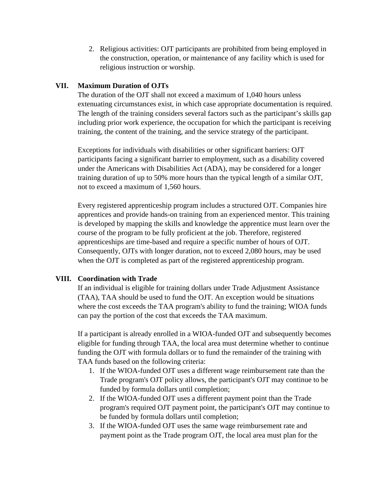2. Religious activities: OJT participants are prohibited from being employed in the construction, operation, or maintenance of any facility which is used for religious instruction or worship.

# **VII. Maximum Duration of OJTs**

The duration of the OJT shall not exceed a maximum of 1,040 hours unless extenuating circumstances exist, in which case appropriate documentation is required. The length of the training considers several factors such as the participant's skills gap including prior work experience, the occupation for which the participant is receiving training, the content of the training, and the service strategy of the participant.

Exceptions for individuals with disabilities or other significant barriers: OJT participants facing a significant barrier to employment, such as a disability covered under the Americans with Disabilities Act (ADA), may be considered for a longer training duration of up to 50% more hours than the typical length of a similar OJT, not to exceed a maximum of 1,560 hours.

Every registered apprenticeship program includes a structured OJT. Companies hire apprentices and provide hands-on training from an experienced mentor. This training is developed by mapping the skills and knowledge the apprentice must learn over the course of the program to be fully proficient at the job. Therefore, registered apprenticeships are time-based and require a specific number of hours of OJT. Consequently, OJTs with longer duration, not to exceed 2,080 hours, may be used when the OJT is completed as part of the registered apprenticeship program.

# **VIII. Coordination with Trade**

If an individual is eligible for training dollars under Trade Adjustment Assistance (TAA), TAA should be used to fund the OJT. An exception would be situations where the cost exceeds the TAA program's ability to fund the training; WIOA funds can pay the portion of the cost that exceeds the TAA maximum.

If a participant is already enrolled in a WIOA-funded OJT and subsequently becomes eligible for funding through TAA, the local area must determine whether to continue funding the OJT with formula dollars or to fund the remainder of the training with TAA funds based on the following criteria:

- 1. If the WIOA-funded OJT uses a different wage reimbursement rate than the Trade program's OJT policy allows, the participant's OJT may continue to be funded by formula dollars until completion;
- 2. If the WIOA-funded OJT uses a different payment point than the Trade program's required OJT payment point, the participant's OJT may continue to be funded by formula dollars until completion;
- 3. If the WIOA-funded OJT uses the same wage reimbursement rate and payment point as the Trade program OJT, the local area must plan for the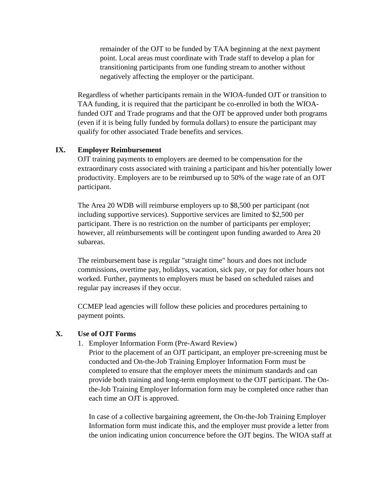remainder of the OJT to be funded by TAA beginning at the next payment point. Local areas must coordinate with Trade staff to develop a plan for transitioning participants from one funding stream to another without negatively affecting the employer or the participant.

Regardless of whether participants remain in the WIOA-funded OJT or transition to TAA funding, it is required that the participant be co-enrolled in both the WIOAfunded OJT and Trade programs and that the OJT be approved under both programs (even if it is being fully funded by formula dollars) to ensure the participant may qualify for other associated Trade benefits and services.

### **IX. Employer Reimbursement**

OJT training payments to employers are deemed to be compensation for the extraordinary costs associated with training a participant and his/her potentially lower productivity. Employers are to be reimbursed up to 50% of the wage rate of an OJT participant.

The Area 20 WDB will reimburse employers up to \$8,500 per participant (not including supportive services). Supportive services are limited to \$2,500 per participant. There is no restriction on the number of participants per employer; however, all reimbursements will be contingent upon funding awarded to Area 20 subareas.

The reimbursement base is regular "straight time" hours and does not include commissions, overtime pay, holidays, vacation, sick pay, or pay for other hours not worked. Further, payments to employers must be based on scheduled raises and regular pay increases if they occur.

CCMEP lead agencies will follow these policies and procedures pertaining to payment points.

### **X. Use of OJT Forms**

1. Employer Information Form (Pre-Award Review)

Prior to the placement of an OJT participant, an employer pre-screening must be conducted and On-the-Job Training Employer Information Form must be completed to ensure that the employer meets the minimum standards and can provide both training and long-term employment to the OJT participant. The Onthe-Job Training Employer Information form may be completed once rather than each time an OJT is approved.

In case of a collective bargaining agreement, the On-the-Job Training Employer Information form must indicate this, and the employer must provide a letter from the union indicating union concurrence before the OJT begins. The WIOA staff at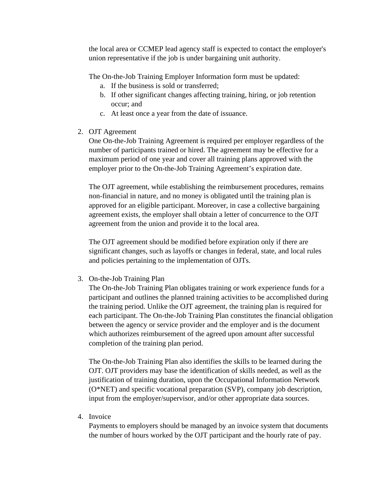the local area or CCMEP lead agency staff is expected to contact the employer's union representative if the job is under bargaining unit authority.

The On-the-Job Training Employer Information form must be updated:

- a. If the business is sold or transferred;
- b. If other significant changes affecting training, hiring, or job retention occur; and
- c. At least once a year from the date of issuance.
- 2. OJT Agreement

One On-the-Job Training Agreement is required per employer regardless of the number of participants trained or hired. The agreement may be effective for a maximum period of one year and cover all training plans approved with the employer prior to the On-the-Job Training Agreement's expiration date.

The OJT agreement, while establishing the reimbursement procedures, remains non-financial in nature, and no money is obligated until the training plan is approved for an eligible participant. Moreover, in case a collective bargaining agreement exists, the employer shall obtain a letter of concurrence to the OJT agreement from the union and provide it to the local area.

The OJT agreement should be modified before expiration only if there are significant changes, such as layoffs or changes in federal, state, and local rules and policies pertaining to the implementation of OJTs.

3. On-the-Job Training Plan

The On-the-Job Training Plan obligates training or work experience funds for a participant and outlines the planned training activities to be accomplished during the training period. Unlike the OJT agreement, the training plan is required for each participant. The On-the-Job Training Plan constitutes the financial obligation between the agency or service provider and the employer and is the document which authorizes reimbursement of the agreed upon amount after successful completion of the training plan period.

The On-the-Job Training Plan also identifies the skills to be learned during the OJT. OJT providers may base the identification of skills needed, as well as the justification of training duration, upon the Occupational Information Network (O\*NET) and specific vocational preparation (SVP), company job description, input from the employer/supervisor, and/or other appropriate data sources.

4. Invoice

Payments to employers should be managed by an invoice system that documents the number of hours worked by the OJT participant and the hourly rate of pay.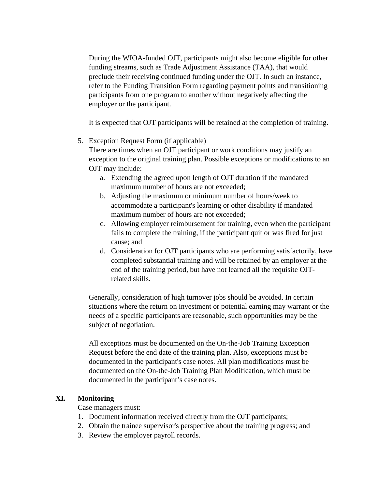During the WIOA-funded OJT, participants might also become eligible for other funding streams, such as Trade Adjustment Assistance (TAA), that would preclude their receiving continued funding under the OJT. In such an instance, refer to the Funding Transition Form regarding payment points and transitioning participants from one program to another without negatively affecting the employer or the participant.

It is expected that OJT participants will be retained at the completion of training.

5. Exception Request Form (if applicable)

There are times when an OJT participant or work conditions may justify an exception to the original training plan. Possible exceptions or modifications to an OJT may include:

- a. Extending the agreed upon length of OJT duration if the mandated maximum number of hours are not exceeded;
- b. Adjusting the maximum or minimum number of hours/week to accommodate a participant's learning or other disability if mandated maximum number of hours are not exceeded;
- c. Allowing employer reimbursement for training, even when the participant fails to complete the training, if the participant quit or was fired for just cause; and
- d. Consideration for OJT participants who are performing satisfactorily, have completed substantial training and will be retained by an employer at the end of the training period, but have not learned all the requisite OJTrelated skills.

Generally, consideration of high turnover jobs should be avoided. In certain situations where the return on investment or potential earning may warrant or the needs of a specific participants are reasonable, such opportunities may be the subject of negotiation.

All exceptions must be documented on the On-the-Job Training Exception Request before the end date of the training plan. Also, exceptions must be documented in the participant's case notes. All plan modifications must be documented on the On-the-Job Training Plan Modification, which must be documented in the participant's case notes.

# **XI. Monitoring**

Case managers must:

- 1. Document information received directly from the OJT participants;
- 2. Obtain the trainee supervisor's perspective about the training progress; and
- 3. Review the employer payroll records.